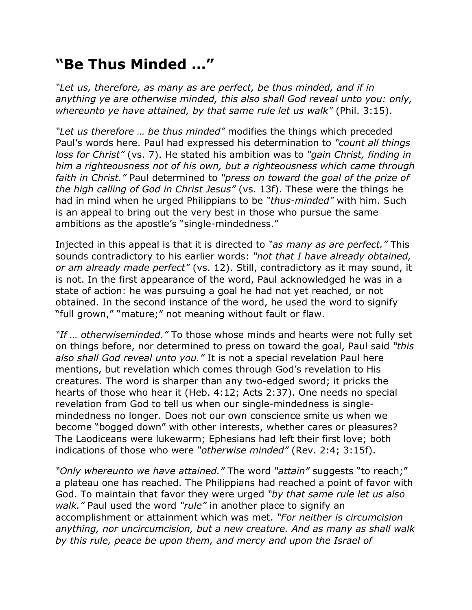## **"Be Thus Minded …"**

*"Let us, therefore, as many as are perfect, be thus minded, and if in anything ye are otherwise minded, this also shall God reveal unto you: only, whereunto ye have attained, by that same rule let us walk"* (Phil. 3:15).

*"Let us therefore … be thus minded"* modifies the things which preceded Paul's words here. Paul had expressed his determination to *"count all things loss for Christ"* (vs. 7). He stated his ambition was to *"gain Christ, finding in him a righteousness not of his own, but a righteousness which came through faith in Christ."* Paul determined to *"press on toward the goal of the prize of the high calling of God in Christ Jesus"* (vs. 13f). These were the things he had in mind when he urged Philippians to be *"thus-minded"* with him. Such is an appeal to bring out the very best in those who pursue the same ambitions as the apostle's "single-mindedness."

Injected in this appeal is that it is directed to *"as many as are perfect."* This sounds contradictory to his earlier words: *"not that I have already obtained, or am already made perfect"* (vs. 12). Still, contradictory as it may sound, it is not. In the first appearance of the word, Paul acknowledged he was in a state of action: he was pursuing a goal he had not yet reached, or not obtained. In the second instance of the word, he used the word to signify "full grown," "mature;" not meaning without fault or flaw.

*"If … otherwiseminded."* To those whose minds and hearts were not fully set on things before, nor determined to press on toward the goal, Paul said *"this also shall God reveal unto you."* It is not a special revelation Paul here mentions, but revelation which comes through God's revelation to His creatures. The word is sharper than any two-edged sword; it pricks the hearts of those who hear it (Heb. 4:12; Acts 2:37). One needs no special revelation from God to tell us when our single-mindedness is singlemindedness no longer. Does not our own conscience smite us when we become "bogged down" with other interests, whether cares or pleasures? The Laodiceans were lukewarm; Ephesians had left their first love; both indications of those who were *"otherwise minded"* (Rev. 2:4; 3:15f).

*"Only whereunto we have attained."* The word *"attain"* suggests "to reach;" a plateau one has reached. The Philippians had reached a point of favor with God. To maintain that favor they were urged *"by that same rule let us also walk."* Paul used the word *"rule"* in another place to signify an accomplishment or attainment which was met. *"For neither is circumcision anything, nor uncircumcision, but a new creature. And as many as shall walk by this rule, peace be upon them, and mercy and upon the Israel of*